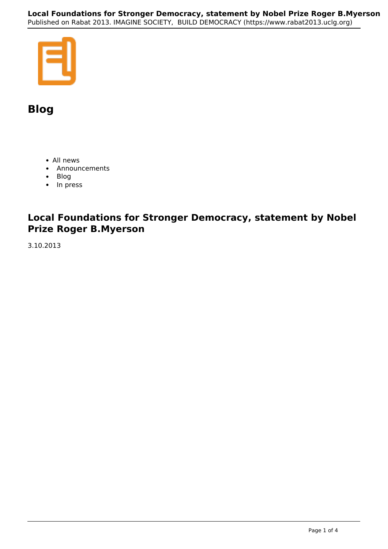# **Blog**

- All news
- Announcements
- Blog
- In press

## **Local Foundations for Stronger Democracy, statement by Nobel Prize Roger B.Myerson**

3.10.2013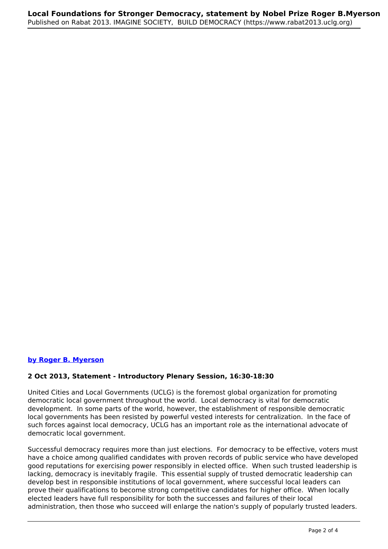### **by Roger B. Myerson**

### **2 Oct 2013, Statement - Introductory Plenary Session, 16:30-18:30**

United Cities and Local Governments (UCLG) is the foremost global organization for promoting democratic local government throughout the world. Local democracy is vital for democratic development. In some parts of the world, however, the establishment of responsible democratic local governments has been resisted by powerful vested interests for centralization. In the face of such forces against local democracy, UCLG has an important role as the international advocate of democratic local government.

Successful democracy requires more than just elections. For democracy to be effective, voters must have a choice among qualified candidates with proven records of public service who have developed good reputations for exercising power responsibly in elected office. When such trusted leadership is lacking, democracy is inevitably fragile. This essential supply of trusted democratic leadership can develop best in responsible institutions of local government, where successful local leaders can prove their qualifications to become strong competitive candidates for higher office. When locally elected leaders have full responsibility for both the successes and failures of their local administration, then those who succeed will enlarge the nation's supply of popularly trusted leaders.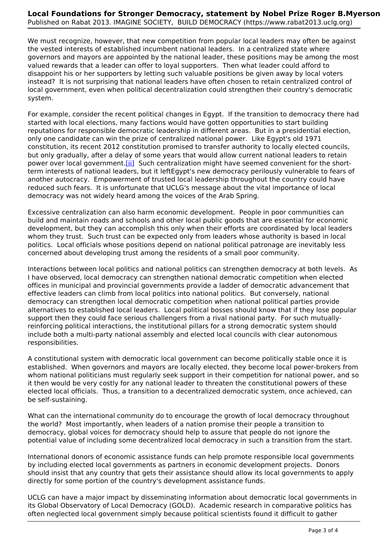We must recognize, however, that new competition from popular local leaders may often be against the vested interests of established incumbent national leaders. In a centralized state where governors and mayors are appointed by the national leader, these positions may be among the most valued rewards that a leader can offer to loyal supporters. Then what leader could afford to disappoint his or her supporters by letting such valuable positions be given away by local voters instead? It is not surprising that national leaders have often chosen to retain centralized control of local government, even when political decentralization could strengthen their country's democratic system.

For example, consider the recent political changes in Egypt. If the transition to democracy there had started with local elections, many factions would have gotten opportunities to start building reputations for responsible democratic leadership in different areas. But in a presidential election, only one candidate can win the prize of centralized national power. Like Egypt's old 1971 constitution, its recent 2012 constitution promised to transfer authority to locally elected councils, but only gradually, after a delay of some years that would allow current national leaders to retain power over local government.[ii] Such centralization might have seemed convenient for the shortterm interests of national leaders, but it leftEgypt's new democracy perilously vulnerable to fears of another autocracy. Empowerment of trusted local leadership throughout the country could have reduced such fears. It is unfortunate that UCLG's message about the vital importance of local democracy was not widely heard among the voices of the Arab Spring.

Excessive centralization can also harm economic development. People in poor communities can build and maintain roads and schools and other local public goods that are essential for economic development, but they can accomplish this only when their efforts are coordinated by local leaders whom they trust. Such trust can be expected only from leaders whose authority is based in local politics. Local officials whose positions depend on national political patronage are inevitably less concerned about developing trust among the residents of a small poor community.

Interactions between local politics and national politics can strengthen democracy at both levels. As I have observed, local democracy can strengthen national democratic competition when elected offices in municipal and provincial governments provide a ladder of democratic advancement that effective leaders can climb from local politics into national politics. But conversely, national democracy can strengthen local democratic competition when national political parties provide alternatives to established local leaders. Local political bosses should know that if they lose popular support then they could face serious challengers from a rival national party. For such mutuallyreinforcing political interactions, the institutional pillars for a strong democratic system should include both a multi-party national assembly and elected local councils with clear autonomous responsibilities.

A constitutional system with democratic local government can become politically stable once it is established. When governors and mayors are locally elected, they become local power-brokers from whom national politicians must regularly seek support in their competition for national power, and so it then would be very costly for any national leader to threaten the constitutional powers of these elected local officials. Thus, a transition to a decentralized democratic system, once achieved, can be self-sustaining.

What can the international community do to encourage the growth of local democracy throughout the world? Most importantly, when leaders of a nation promise their people a transition to democracy, global voices for democracy should help to assure that people do not ignore the potential value of including some decentralized local democracy in such a transition from the start.

International donors of economic assistance funds can help promote responsible local governments by including elected local governments as partners in economic development projects. Donors should insist that any country that gets their assistance should allow its local governments to apply directly for some portion of the country's development assistance funds.

UCLG can have a major impact by disseminating information about democratic local governments in its Global Observatory of Local Democracy (GOLD). Academic research in comparative politics has often neglected local government simply because political scientists found it difficult to gather